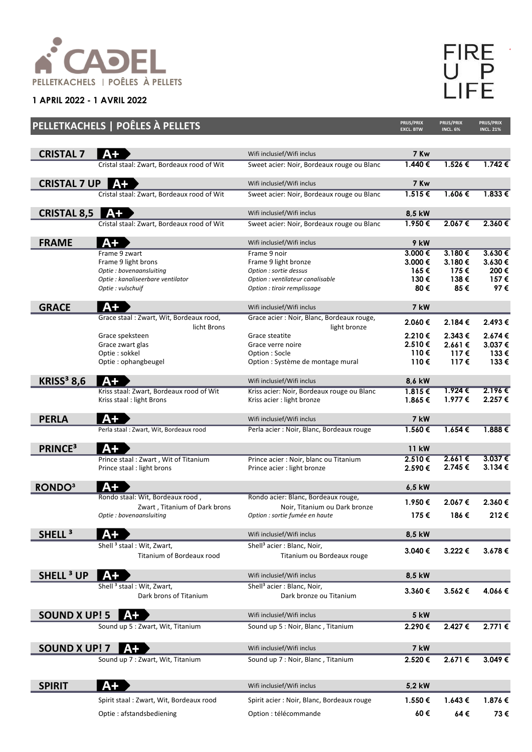

**1 APRIL 2022 - 1 AVRIL 2022**

FIRE<br>UPP<br>LIFE

|                              | PELLETKACHELS   POÊLES À PELLETS                                   |                                                                  | <b>PRIJS/PRIX</b><br><b>EXCL. BTW</b> | PRIJS/PRIX<br><b>INCL. 6%</b> | PRIJS/PRIX<br><b>INCL. 21%</b> |
|------------------------------|--------------------------------------------------------------------|------------------------------------------------------------------|---------------------------------------|-------------------------------|--------------------------------|
| <b>CRISTAL 7</b>             | $A+$                                                               | Wifi inclusief/Wifi inclus                                       | 7 Kw                                  |                               |                                |
|                              | Cristal staal: Zwart, Bordeaux rood of Wit                         | Sweet acier: Noir, Bordeaux rouge ou Blanc                       | $1.440 \in$                           | 1.526€                        | $1.742 \in$                    |
|                              |                                                                    |                                                                  |                                       |                               |                                |
| <b>CRISTAL 7 UP</b>          | A+                                                                 | Wifi inclusief/Wifi inclus                                       | 7 Kw                                  |                               |                                |
|                              | Cristal staal: Zwart, Bordeaux rood of Wit                         | Sweet acier: Noir, Bordeaux rouge ou Blanc                       | $1.515 \in$                           | $1.606 \in$                   | $1.833 \in$                    |
| <b>CRISTAL 8,5</b>           | $A+$                                                               | Wifi inclusief/Wifi inclus                                       | 8,5 kW                                |                               |                                |
|                              | Cristal staal: Zwart, Bordeaux rood of Wit                         | Sweet acier: Noir, Bordeaux rouge ou Blanc                       | 1.950€                                | 2.067€                        | 2.360€                         |
| <b>FRAME</b>                 | $A+$                                                               | Wifi inclusief/Wifi inclus                                       | 9 kW                                  |                               |                                |
|                              | Frame 9 zwart                                                      | Frame 9 noir                                                     | $3.000 \in$                           | $3.180 \in$                   | 3.630€                         |
|                              | Frame 9 light brons                                                | Frame 9 light bronze                                             | 3.000 €                               | 3.180€                        | 3.630€                         |
|                              | Optie : bovenaansluiting                                           | Option : sortie dessus                                           | 165€<br>130€                          | 175€<br>138€                  | 200€<br>157€                   |
|                              | Optie : kanaliseerbare ventilator<br>Optie : vulschuif             | Option : ventilateur canalisable<br>Option : tiroir remplissage  | 80€                                   | 85€                           | 97€                            |
|                              |                                                                    |                                                                  |                                       |                               |                                |
| <b>GRACE</b>                 | A+                                                                 | Wifi inclusief/Wifi inclus                                       | 7 kW                                  |                               |                                |
|                              | Grace staal: Zwart, Wit, Bordeaux rood,<br>licht Brons             | Grace acier : Noir, Blanc, Bordeaux rouge,<br>light bronze       | 2.060€                                | 2.184€                        | 2.493€                         |
|                              | Grace speksteen                                                    | Grace steatite                                                   | 2.210€                                | 2.343 €                       | 2.674€                         |
|                              | Grace zwart glas                                                   | Grace verre noire                                                | 2.510€                                | 2.661€                        | 3.037€                         |
|                              | Optie: sokkel                                                      | Option: Socle                                                    | 110€                                  | 117€                          | 133€                           |
|                              | Optie: ophangbeugel                                                | Option : Système de montage mural                                | 110 €                                 | 117€                          | 133€                           |
| <b>KRISS<sup>3</sup> 8,6</b> | $A+$                                                               | Wifi inclusief/Wifi inclus                                       | 8,6 kW                                |                               |                                |
|                              | Kriss staal: Zwart, Bordeaux rood of Wit                           | Kriss acier: Noir, Bordeaux rouge ou Blanc                       | 1.815€                                | 1.924€                        | 2.196€                         |
|                              | Kriss staal: light Brons                                           | Kriss acier : light bronze                                       | 1.865€                                | 1.977 €                       | 2.257€                         |
| <b>PERLA</b>                 | $A+$                                                               | Wifi inclusief/Wifi inclus                                       | 7 kW                                  |                               |                                |
|                              | Perla staal: Zwart, Wit, Bordeaux rood                             | Perla acier: Noir, Blanc, Bordeaux rouge                         | 1.560€                                | $1.654 \in$                   | 1.888€                         |
| <b>PRINCE<sup>3</sup></b>    | $A+$                                                               |                                                                  | 11 kW                                 |                               |                                |
|                              | Prince staal: Zwart, Wit of Titanium                               | Prince acier : Noir, blanc ou Titanium                           | 2.510€                                | 2.661€                        | 3.037€                         |
|                              | Prince staal : light brons                                         | Prince acier : light bronze                                      | 2.590€                                | 2.745€                        | $3.134 \in$                    |
| <b>RONDO3</b>                | A+                                                                 |                                                                  | 6,5 kW                                |                               |                                |
|                              | Rondo staal: Wit, Bordeaux rood,                                   | Rondo acier: Blanc, Bordeaux rouge,                              | 1.950€                                | 2.067€                        | 2.360€                         |
|                              | Zwart, Titanium of Dark brons<br>Optie : bovenaansluiting          | Noir, Titanium ou Dark bronze<br>Option : sortie fumée en haute  | 175€                                  | 186€                          | 212€                           |
|                              |                                                                    |                                                                  |                                       |                               |                                |
| SHELL <sup>3</sup>           |                                                                    | Wifi inclusief/Wifi inclus                                       | 8,5 kW                                |                               |                                |
|                              | Shell <sup>3</sup> staal: Wit, Zwart,<br>Titanium of Bordeaux rood | Shell <sup>3</sup> acier: Blanc, Noir,                           | 3.040€                                | 3.222 €                       | 3.678€                         |
|                              |                                                                    | Titanium ou Bordeaux rouge                                       |                                       |                               |                                |
| <b>SHELL<sup>3</sup> UP</b>  |                                                                    | Wifi inclusief/Wifi inclus                                       | 8,5 kW                                |                               |                                |
|                              | Shell <sup>3</sup> staal: Wit, Zwart,                              | Shell <sup>3</sup> acier : Blanc, Noir,                          | 3.360€                                | 3.562€                        | 4.066€                         |
|                              | Dark brons of Titanium                                             | Dark bronze ou Titanium                                          |                                       |                               |                                |
| <b>SOUND X UP! 5</b>         | $A+$                                                               | Wifi inclusief/Wifi inclus                                       | <b>5 kW</b>                           |                               |                                |
|                              | Sound up 5 : Zwart, Wit, Titanium                                  | Sound up 5 : Noir, Blanc, Titanium                               | 2.290€                                | 2.427 €                       | 2.771€                         |
|                              |                                                                    |                                                                  |                                       |                               |                                |
| SOUND X UP! 7                | A+<br>Sound up 7 : Zwart, Wit, Titanium                            | Wifi inclusief/Wifi inclus<br>Sound up 7 : Noir, Blanc, Titanium | 7 kW<br>2.520€                        | 2.671 €                       | 3.049€                         |
|                              |                                                                    |                                                                  |                                       |                               |                                |
| <b>SPIRIT</b>                | $A+$                                                               | Wifi inclusief/Wifi inclus                                       | 5,2 kW                                |                               |                                |
|                              | Spirit staal: Zwart, Wit, Bordeaux rood                            | Spirit acier: Noir, Blanc, Bordeaux rouge                        | 1.550€                                | 1.643€                        | 1.876€                         |
|                              |                                                                    | Option : télécommande                                            | 60€                                   | 64€                           | 73€                            |
|                              | Optie: afstandsbediening                                           |                                                                  |                                       |                               |                                |